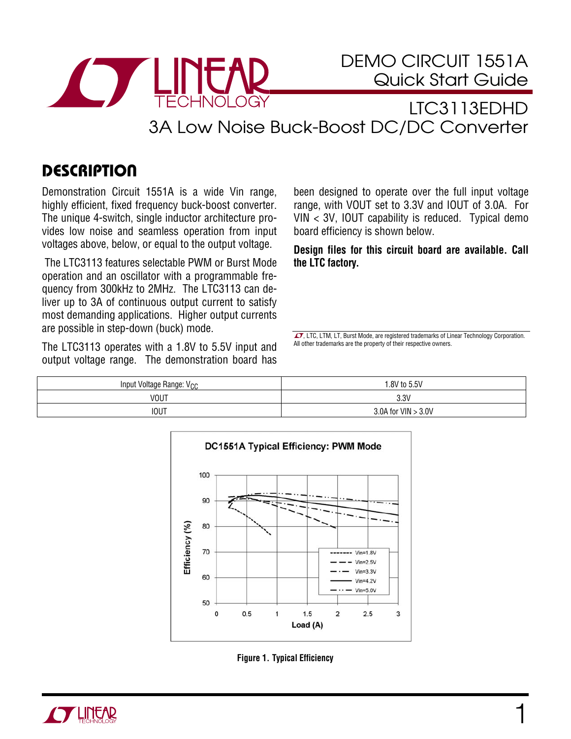

DEMO CIRCUIT 1551A Quick Start Guide

## LTC3113EDHD 3A Low Noise Buck-Boost DC/DC Converter

## **DESCRIPTION**

Demonstration Circuit 1551A is a wide Vin range, highly efficient, fixed frequency buck-boost converter. The unique 4-switch, single inductor architecture provides low noise and seamless operation from input voltages above, below, or equal to the output voltage.

 The LTC3113 features selectable PWM or Burst Mode operation and an oscillator with a programmable frequency from 300kHz to 2MHz. The LTC3113 can deliver up to 3A of continuous output current to satisfy most demanding applications. Higher output currents are possible in step-down (buck) mode.

The LTC3113 operates with a 1.8V to 5.5V input and output voltage range. The demonstration board has

been designed to operate over the full input voltage range, with VOUT set to 3.3V and IOUT of 3.0A. For VIN < 3V, IOUT capability is reduced. Typical demo board efficiency is shown below.

**Design files for this circuit board are available. Call the LTC factory.** 

 $\sqrt{27}$ , LTC, LTM, LT, Burst Mode, are registered trademarks of Linear Technology Corporation. All other trademarks are the property of their respective owners.

| Input Voltage Range: V <sub>CC</sub> | .8V to 5.5V           |
|--------------------------------------|-----------------------|
| <b>VOUT</b>                          | 3.3V                  |
| <b>IOUT</b>                          | 3.0A for $VIN > 3.0V$ |



**Figure 1. Typical Efficiency** 

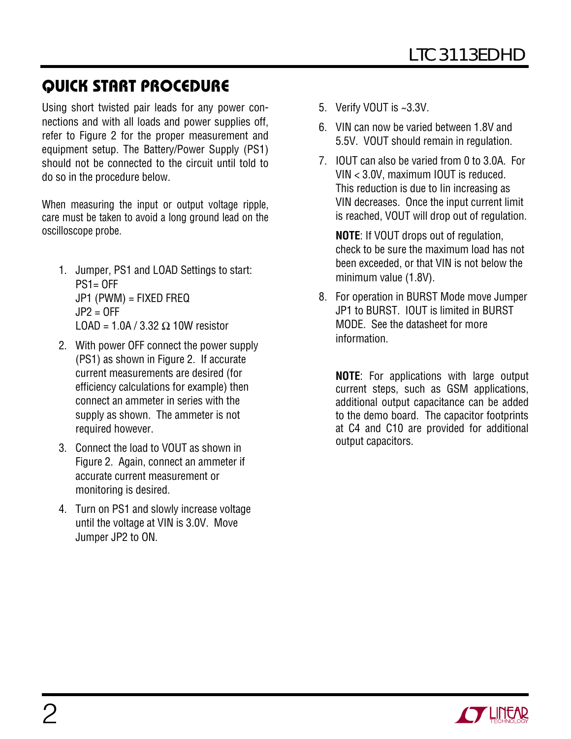## QUICK START PROCEDURE

Using short twisted pair leads for any power connections and with all loads and power supplies off, refer to Figure 2 for the proper measurement and equipment setup. The Battery/Power Supply (PS1) should not be connected to the circuit until told to do so in the procedure below.

When measuring the input or output voltage ripple, care must be taken to avoid a long ground lead on the oscilloscope probe.

- 1. Jumper, PS1 and LOAD Settings to start:  $PS1 = OFF$ JP1 (PWM) = FIXED FREQ  $JP2 = OFF$ LOAD =  $1.0A / 3.32 \Omega$  10W resistor
- 2. With power OFF connect the power supply (PS1) as shown in Figure 2. If accurate current measurements are desired (for efficiency calculations for example) then connect an ammeter in series with the supply as shown. The ammeter is not required however.
- 3. Connect the load to VOUT as shown in Figure 2. Again, connect an ammeter if accurate current measurement or monitoring is desired.
- 4. Turn on PS1 and slowly increase voltage until the voltage at VIN is 3.0V. Move Jumper JP2 to ON.
- 5. Verify VOUT is ~3.3V.
- 6. VIN can now be varied between 1.8V and 5.5V. VOUT should remain in regulation.
- 7. IOUT can also be varied from 0 to 3.0A. For VIN < 3.0V, maximum IOUT is reduced. This reduction is due to Iin increasing as VIN decreases. Once the input current limit is reached, VOUT will drop out of regulation.

**NOTE**: If VOUT drops out of regulation, check to be sure the maximum load has not been exceeded, or that VIN is not below the minimum value (1.8V).

8. For operation in BURST Mode move Jumper JP1 to BURST. IOUT is limited in BURST MODE. See the datasheet for more information.

**NOTE**: For applications with large output current steps, such as GSM applications, additional output capacitance can be added to the demo board. The capacitor footprints at C4 and C10 are provided for additional output capacitors.

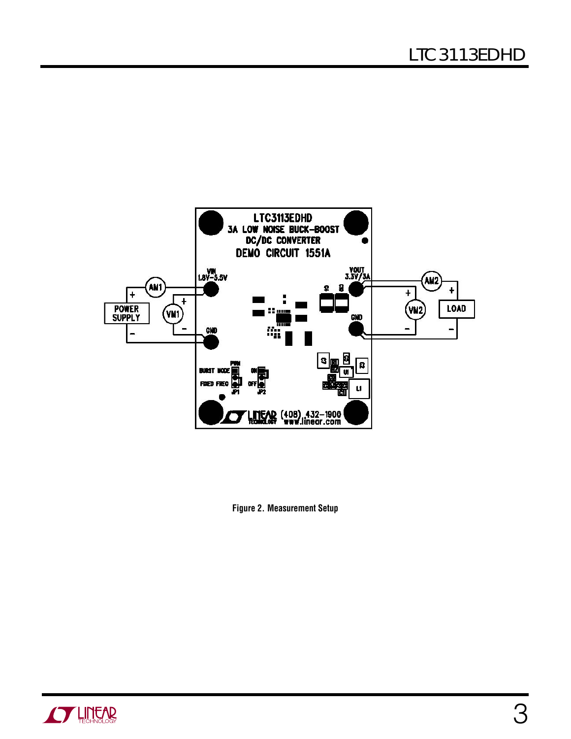

**Figure 2. Measurement Setup** 

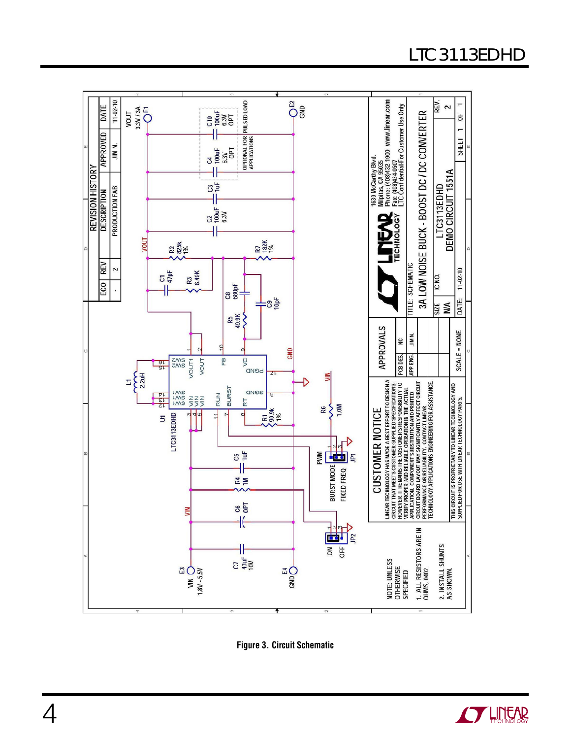## LTC3113EDHD



**Figure 3. Circuit Schematic**